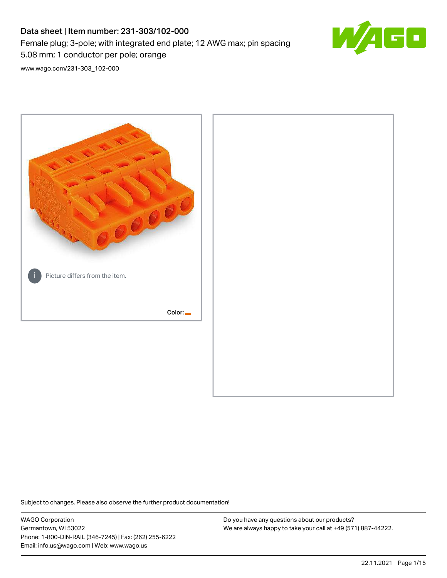# Data sheet | Item number: 231-303/102-000 Female plug; 3-pole; with integrated end plate; 12 AWG max; pin spacing 5.08 mm; 1 conductor per pole; orange



[www.wago.com/231-303\\_102-000](http://www.wago.com/231-303_102-000)



Subject to changes. Please also observe the further product documentation!

WAGO Corporation Germantown, WI 53022 Phone: 1-800-DIN-RAIL (346-7245) | Fax: (262) 255-6222 Email: info.us@wago.com | Web: www.wago.us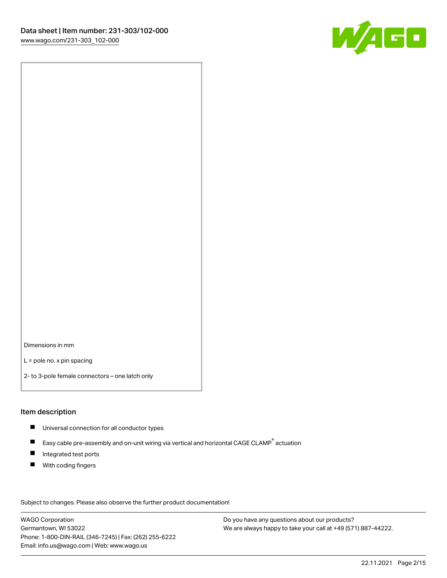

Dimensions in mm

L = pole no. x pin spacing

2- to 3-pole female connectors – one latch only

### Item description

- **Universal connection for all conductor types**
- Easy cable pre-assembly and on-unit wiring via vertical and horizontal CAGE CLAMP<sup>®</sup> actuation  $\blacksquare$
- $\blacksquare$ Integrated test ports
- $\blacksquare$ With coding fingers

Subject to changes. Please also observe the further product documentation! Data

WAGO Corporation Germantown, WI 53022 Phone: 1-800-DIN-RAIL (346-7245) | Fax: (262) 255-6222 Email: info.us@wago.com | Web: www.wago.us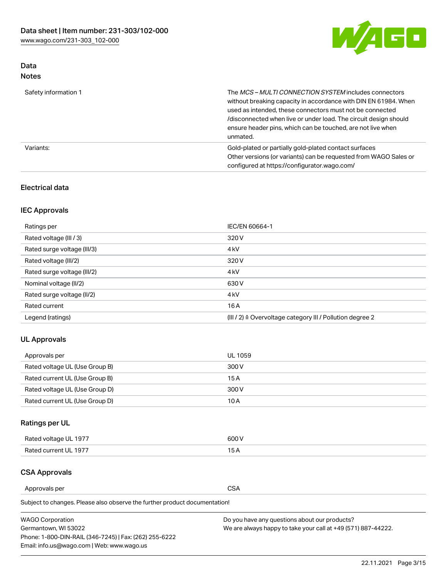

## Data Notes

| Safety information 1 | The MCS-MULTI CONNECTION SYSTEM includes connectors<br>without breaking capacity in accordance with DIN EN 61984. When<br>used as intended, these connectors must not be connected<br>/disconnected when live or under load. The circuit design should<br>ensure header pins, which can be touched, are not live when<br>unmated. |
|----------------------|-----------------------------------------------------------------------------------------------------------------------------------------------------------------------------------------------------------------------------------------------------------------------------------------------------------------------------------|
| Variants:            | Gold-plated or partially gold-plated contact surfaces<br>Other versions (or variants) can be requested from WAGO Sales or<br>configured at https://configurator.wago.com/                                                                                                                                                         |

## Electrical data

## IEC Approvals

| Ratings per                 | IEC/EN 60664-1                                                        |  |
|-----------------------------|-----------------------------------------------------------------------|--|
| Rated voltage (III / 3)     | 320 V                                                                 |  |
| Rated surge voltage (III/3) | 4 <sub>k</sub> V                                                      |  |
| Rated voltage (III/2)       | 320 V                                                                 |  |
| Rated surge voltage (III/2) | 4 <sub>k</sub> V                                                      |  |
| Nominal voltage (II/2)      | 630 V                                                                 |  |
| Rated surge voltage (II/2)  | 4 <sub>k</sub> V                                                      |  |
| Rated current               | 16A                                                                   |  |
| Legend (ratings)            | $(III / 2)$ $\triangle$ Overvoltage category III / Pollution degree 2 |  |

## UL Approvals

| Approvals per                  | UL 1059 |
|--------------------------------|---------|
| Rated voltage UL (Use Group B) | 300 V   |
| Rated current UL (Use Group B) | 15 A    |
| Rated voltage UL (Use Group D) | 300 V   |
| Rated current UL (Use Group D) | 10 A    |

## Ratings per UL

| Rated voltage UL 1977 | 300 V |
|-----------------------|-------|
| Rated current UL 1977 |       |

## CSA Approvals

Approvals per CSA

Subject to changes. Please also observe the further product documentation!

| <b>WAGO Corporation</b>                                | Do you have any questions about our products?                 |
|--------------------------------------------------------|---------------------------------------------------------------|
| Germantown, WI 53022                                   | We are always happy to take your call at +49 (571) 887-44222. |
| Phone: 1-800-DIN-RAIL (346-7245)   Fax: (262) 255-6222 |                                                               |
| Email: info.us@wago.com   Web: www.wago.us             |                                                               |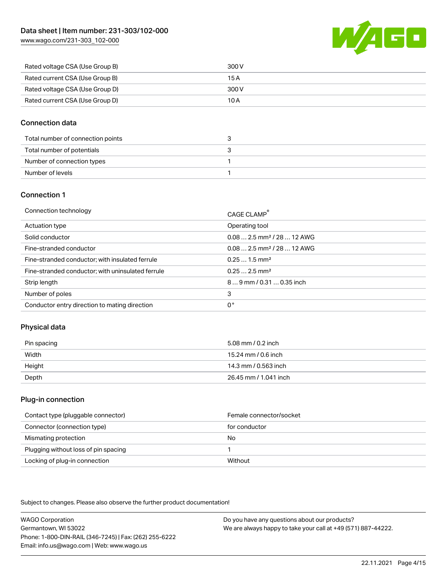[www.wago.com/231-303\\_102-000](http://www.wago.com/231-303_102-000)



| Rated voltage CSA (Use Group B) | 300 V |
|---------------------------------|-------|
| Rated current CSA (Use Group B) | 15 A  |
| Rated voltage CSA (Use Group D) | 300 V |
| Rated current CSA (Use Group D) | 10 A  |

## Connection data

| Total number of connection points |  |
|-----------------------------------|--|
| Total number of potentials        |  |
| Number of connection types        |  |
| Number of levels                  |  |

### Connection 1

| Connection technology                             | CAGE CLAMP <sup>®</sup>                 |
|---------------------------------------------------|-----------------------------------------|
| Actuation type                                    | Operating tool                          |
| Solid conductor                                   | $0.082.5$ mm <sup>2</sup> / 28  12 AWG  |
| Fine-stranded conductor                           | $0.08$ 2.5 mm <sup>2</sup> / 28  12 AWG |
| Fine-stranded conductor; with insulated ferrule   | $0.251.5$ mm <sup>2</sup>               |
| Fine-stranded conductor; with uninsulated ferrule | $0.252.5$ mm <sup>2</sup>               |
| Strip length                                      | $89$ mm $/$ 0.31  0.35 inch             |
| Number of poles                                   | 3                                       |
| Conductor entry direction to mating direction     | 0°                                      |

## Physical data

| Pin spacing | 5.08 mm / 0.2 inch    |
|-------------|-----------------------|
| Width       | 15.24 mm / 0.6 inch   |
| Height      | 14.3 mm / 0.563 inch  |
| Depth       | 26.45 mm / 1.041 inch |

### Plug-in connection

| Contact type (pluggable connector)   | Female connector/socket |
|--------------------------------------|-------------------------|
| Connector (connection type)          | for conductor           |
| Mismating protection                 | No                      |
| Plugging without loss of pin spacing |                         |
| Locking of plug-in connection        | Without                 |

Subject to changes. Please also observe the further product documentation!

WAGO Corporation Germantown, WI 53022 Phone: 1-800-DIN-RAIL (346-7245) | Fax: (262) 255-6222 Email: info.us@wago.com | Web: www.wago.us Do you have any questions about our products? We are always happy to take your call at +49 (571) 887-44222.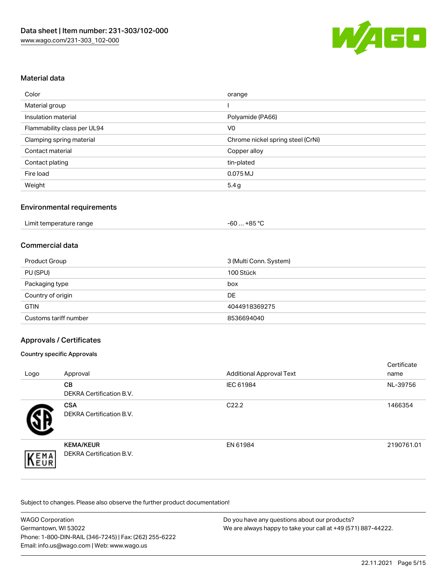

### Material data

| Color                       | orange                            |
|-----------------------------|-----------------------------------|
| Material group              |                                   |
| Insulation material         | Polyamide (PA66)                  |
| Flammability class per UL94 | V <sub>0</sub>                    |
| Clamping spring material    | Chrome nickel spring steel (CrNi) |
| Contact material            | Copper alloy                      |
| Contact plating             | tin-plated                        |
| Fire load                   | 0.075 MJ                          |
| Weight                      | 5.4g                              |

### Environmental requirements

| Limit temperature range | $-60+85 °C$ |  |
|-------------------------|-------------|--|
|-------------------------|-------------|--|

### Commercial data

| Product Group         | 3 (Multi Conn. System) |
|-----------------------|------------------------|
| PU (SPU)              | 100 Stück              |
| Packaging type        | box                    |
| Country of origin     | DE                     |
| <b>GTIN</b>           | 4044918369275          |
| Customs tariff number | 8536694040             |

### Approvals / Certificates

#### Country specific Approvals

| Logo | Approval                                            | <b>Additional Approval Text</b> | Certificate<br>name |
|------|-----------------------------------------------------|---------------------------------|---------------------|
|      | <b>CB</b><br><b>DEKRA Certification B.V.</b>        | IEC 61984                       | NL-39756            |
|      | <b>CSA</b><br>DEKRA Certification B.V.              | C <sub>22.2</sub>               | 1466354             |
| EMA  | <b>KEMA/KEUR</b><br><b>DEKRA Certification B.V.</b> | EN 61984                        | 2190761.01          |

Subject to changes. Please also observe the further product documentation!

| <b>WAGO Corporation</b>                                | Do you have any questions about our products?                 |  |
|--------------------------------------------------------|---------------------------------------------------------------|--|
| Germantown, WI 53022                                   | We are always happy to take your call at +49 (571) 887-44222. |  |
| Phone: 1-800-DIN-RAIL (346-7245)   Fax: (262) 255-6222 |                                                               |  |
| Email: info.us@wago.com   Web: www.wago.us             |                                                               |  |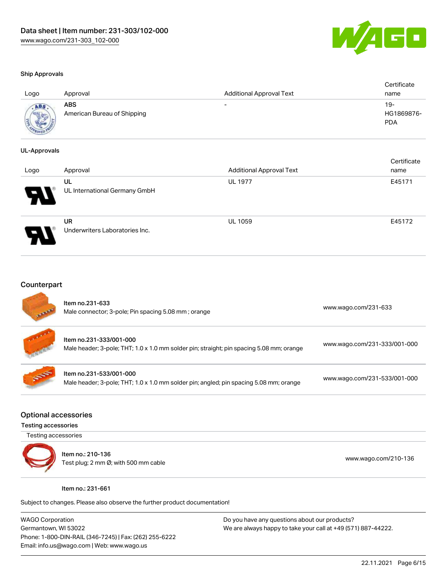

certificate de la contradición de la contradición de la contradición de la contradición de la contradición de<br>Contradición de la contradición de la contradición de la contradición de la contradición de la contradición de

#### Ship Approvals

| Logo | Approval                                  | <b>Additional Approval Text</b> | Certificate<br>name             |
|------|-------------------------------------------|---------------------------------|---------------------------------|
|      | <b>ABS</b><br>American Bureau of Shipping | $\overline{\phantom{0}}$        | 19-<br>HG1869876-<br><b>PDA</b> |

#### UL-Approvals

| Logo | Approval                             | <b>Additional Approval Text</b> | Certificate<br>name |
|------|--------------------------------------|---------------------------------|---------------------|
| Р.   | UL<br>UL International Germany GmbH  | <b>UL 1977</b>                  | E45171              |
|      | UR<br>Underwriters Laboratories Inc. | <b>UL 1059</b>                  | E45172              |

#### **Counterpart**

| <b>All Partial</b> | Item no.231-633<br>Male connector; 3-pole; Pin spacing 5.08 mm; orange                                              | www.wago.com/231-633         |
|--------------------|---------------------------------------------------------------------------------------------------------------------|------------------------------|
| <b>Control</b>     | Item no.231-333/001-000<br>Male header; 3-pole; THT; 1.0 x 1.0 mm solder pin; straight; pin spacing 5.08 mm; orange | www.wago.com/231-333/001-000 |
| <b>SEPT</b>        | Item no.231-533/001-000<br>Male header; 3-pole; THT; 1.0 x 1.0 mm solder pin; angled; pin spacing 5.08 mm; orange   | www.wago.com/231-533/001-000 |

#### Optional accessories

#### Testing accessories

Testing accessories



Item no.: 210-136 Test plug; 2 mm Ø; with 500 mm cable [www.wago.com/210-136](http://www.wago.com/210-136)

#### Item no.: 231-661

Subject to changes. Please also observe the further product documentation!

WAGO Corporation Germantown, WI 53022 Phone: 1-800-DIN-RAIL (346-7245) | Fax: (262) 255-6222 Email: info.us@wago.com | Web: www.wago.us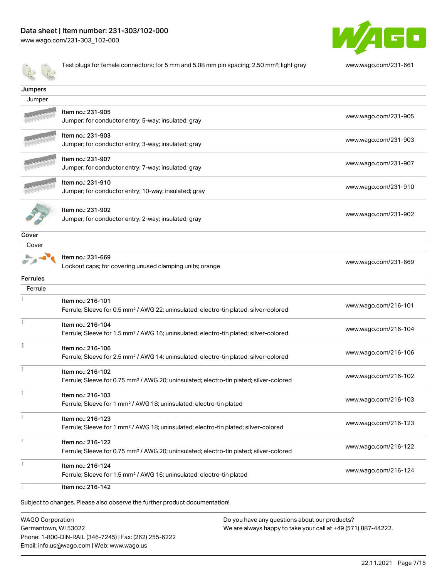

Test plugs for female connectors; for 5 mm and 5.08 mm pin spacing; 2,50 mm²; light gray [www.wago.com/231-661](http://www.wago.com/231-661) **Jumpers**  Jumper Item no.: 231-905 Jumper; for conductor entry; 5-way; insulated; gray [www.wago.com/231-905](http://www.wago.com/231-905) Item no.: 231-903 Jumper; for conductor entry; 3-way; insulated; gray [www.wago.com/231-903](http://www.wago.com/231-903) Item no.: 231-907 Jumper; for conductor entry; 7-way; insulated; gray [www.wago.com/231-907](http://www.wago.com/231-907) Item no.: 231-910 Jumper; for conductor entry; 10-way; insulated; gray [www.wago.com/231-910](http://www.wago.com/231-910) Item no.: 231-902 Jumper; for conductor entry; 2-way; insulated; gray [www.wago.com/231-902](http://www.wago.com/231-902) Cover Cover Item no.: 231-669  $\overline{a}$ Lockout caps; for covering unused clamping units; orange [www.wago.com/231-669](http://www.wago.com/231-669) Ferrules Ferrule  $\frac{1}{2}$ Item no.: 216-101 Ferrule; Sleeve for 0.5 mm² / AWG 22; uninsulated; electro-tin plated; silver-colored [www.wago.com/216-101](http://www.wago.com/216-101) Item no.: 216-104 Ferrule; Sleeve for 1.5 mm² / AWG 16; uninsulated; electro-tin plated; silver-colored [www.wago.com/216-104](http://www.wago.com/216-104) Item no.: 216-106 Ferrule; Sleeve for 2.5 mm² / AWG 14; uninsulated; electro-tin plated; silver-colored [www.wago.com/216-106](http://www.wago.com/216-106) Item no.: 216-102 Ferrule; Sleeve for 0.75 mm² / AWG 20; uninsulated; electro-tin plated; silver-colored [www.wago.com/216-102](http://www.wago.com/216-102) Item no.: 216-103 Ferrule; Sleeve for 1 mm² / AWG 18; uninsulated; electro-tin plated [www.wago.com/216-103](http://www.wago.com/216-103) Item no.: 216-123 Ferrule; Sleeve for 1 mm² / AWG 18; uninsulated; electro-tin plated; silver-colored [www.wago.com/216-123](http://www.wago.com/216-123) Item no.: 216-122 Ferrule; Sleeve for 0.75 mm² / AWG 20; uninsulated; electro-tin plated; silver-colored [www.wago.com/216-122](http://www.wago.com/216-122)  $\bar{b}$ Item no.: 216-124 Ferrule; Sleeve for 1.5 mm² / AWG 16; uninsulated; electro-tin plated [www.wago.com/216-124](http://www.wago.com/216-124) Item no.: 216-142 Subject to changes. Please also observe the further product documentation!

WAGO Corporation Germantown, WI 53022 Phone: 1-800-DIN-RAIL (346-7245) | Fax: (262) 255-6222 Email: info.us@wago.com | Web: www.wago.us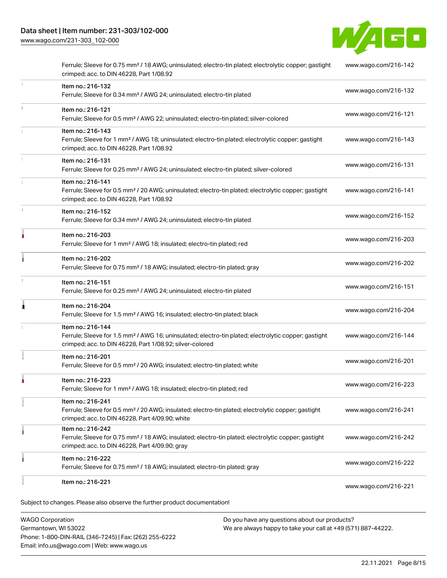[www.wago.com/231-303\\_102-000](http://www.wago.com/231-303_102-000)



| Item no.: 216-221                                                                                                                                                                                 | www.wago.com/216-221 |
|---------------------------------------------------------------------------------------------------------------------------------------------------------------------------------------------------|----------------------|
| Item no.: 216-222<br>Ferrule; Sleeve for 0.75 mm <sup>2</sup> / 18 AWG; insulated; electro-tin plated; gray                                                                                       | www.wago.com/216-222 |
| Item no.: 216-242<br>Ferrule; Sleeve for 0.75 mm <sup>2</sup> / 18 AWG; insulated; electro-tin plated; electrolytic copper; gastight<br>crimped; acc. to DIN 46228, Part 4/09.90; gray            | www.wago.com/216-242 |
| Item no.: 216-241<br>Ferrule; Sleeve for 0.5 mm <sup>2</sup> / 20 AWG; insulated; electro-tin plated; electrolytic copper; gastight<br>crimped; acc. to DIN 46228, Part 4/09.90; white            | www.wago.com/216-241 |
| Item no.: 216-223<br>Ferrule; Sleeve for 1 mm <sup>2</sup> / AWG 18; insulated; electro-tin plated; red                                                                                           | www.wago.com/216-223 |
| Item no.: 216-201<br>Ferrule; Sleeve for 0.5 mm <sup>2</sup> / 20 AWG; insulated; electro-tin plated; white                                                                                       | www.wago.com/216-201 |
| Item no.: 216-144<br>Ferrule; Sleeve for 1.5 mm <sup>2</sup> / AWG 16; uninsulated; electro-tin plated; electrolytic copper; gastight<br>crimped; acc. to DIN 46228, Part 1/08.92; silver-colored | www.wago.com/216-144 |
| Item no.: 216-204<br>Ferrule; Sleeve for 1.5 mm <sup>2</sup> / AWG 16; insulated; electro-tin plated; black                                                                                       | www.wago.com/216-204 |
| Item no.: 216-151<br>Ferrule; Sleeve for 0.25 mm <sup>2</sup> / AWG 24; uninsulated; electro-tin plated                                                                                           | www.wago.com/216-151 |
| Item no.: 216-202<br>Ferrule; Sleeve for 0.75 mm <sup>2</sup> / 18 AWG; insulated; electro-tin plated; gray                                                                                       | www.wago.com/216-202 |
| Item no.: 216-203<br>Ferrule; Sleeve for 1 mm <sup>2</sup> / AWG 18; insulated; electro-tin plated; red                                                                                           | www.wago.com/216-203 |
| Item no.: 216-152<br>Ferrule; Sleeve for 0.34 mm <sup>2</sup> / AWG 24; uninsulated; electro-tin plated                                                                                           | www.wago.com/216-152 |
| Item no.: 216-141<br>Ferrule; Sleeve for 0.5 mm <sup>2</sup> / 20 AWG; uninsulated; electro-tin plated; electrolytic copper; gastight<br>crimped; acc. to DIN 46228, Part 1/08.92                 | www.wago.com/216-141 |
| Item no.: 216-131<br>Ferrule; Sleeve for 0.25 mm <sup>2</sup> / AWG 24; uninsulated; electro-tin plated; silver-colored                                                                           | www.wago.com/216-131 |
| Item no.: 216-143<br>Ferrule; Sleeve for 1 mm <sup>2</sup> / AWG 18; uninsulated; electro-tin plated; electrolytic copper; gastight<br>crimped; acc. to DIN 46228, Part 1/08.92                   | www.wago.com/216-143 |
| Item no.: 216-121<br>Ferrule; Sleeve for 0.5 mm <sup>2</sup> / AWG 22; uninsulated; electro-tin plated; silver-colored                                                                            | www.wago.com/216-121 |
| Item no.: 216-132<br>Ferrule; Sleeve for 0.34 mm <sup>2</sup> / AWG 24; uninsulated; electro-tin plated                                                                                           | www.wago.com/216-132 |
| Ferrule; Sleeve for 0.75 mm <sup>2</sup> / 18 AWG; uninsulated; electro-tin plated; electrolytic copper; gastight<br>crimped; acc. to DIN 46228, Part 1/08.92                                     | www.wago.com/216-142 |

WAGO Corporation Germantown, WI 53022 Phone: 1-800-DIN-RAIL (346-7245) | Fax: (262) 255-6222 Email: info.us@wago.com | Web: www.wago.us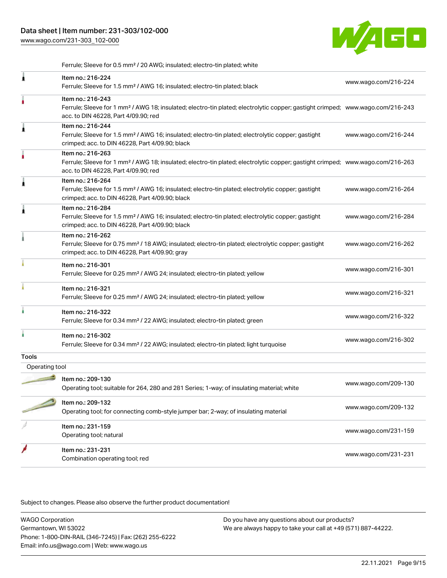[www.wago.com/231-303\\_102-000](http://www.wago.com/231-303_102-000)



Ferrule; Sleeve for 0.5 mm² / 20 AWG; insulated; electro-tin plated; white

| 1              | Item no.: 216-224<br>Ferrule; Sleeve for 1.5 mm <sup>2</sup> / AWG 16; insulated; electro-tin plated; black                                                                                             | www.wago.com/216-224 |
|----------------|---------------------------------------------------------------------------------------------------------------------------------------------------------------------------------------------------------|----------------------|
|                | Item no.: 216-243<br>Ferrule; Sleeve for 1 mm <sup>2</sup> / AWG 18; insulated; electro-tin plated; electrolytic copper; gastight crimped; www.wago.com/216-243<br>acc. to DIN 46228, Part 4/09.90; red |                      |
| ۸              | Item no.: 216-244<br>Ferrule; Sleeve for 1.5 mm <sup>2</sup> / AWG 16; insulated; electro-tin plated; electrolytic copper; gastight<br>crimped; acc. to DIN 46228, Part 4/09.90; black                  | www.wago.com/216-244 |
|                | Item no.: 216-263<br>Ferrule; Sleeve for 1 mm <sup>2</sup> / AWG 18; insulated; electro-tin plated; electrolytic copper; gastight crimped; www.wago.com/216-263<br>acc. to DIN 46228, Part 4/09.90; red |                      |
| Â              | Item no.: 216-264<br>Ferrule; Sleeve for 1.5 mm <sup>2</sup> / AWG 16; insulated; electro-tin plated; electrolytic copper; gastight<br>crimped; acc. to DIN 46228, Part 4/09.90; black                  | www.wago.com/216-264 |
| Â              | Item no.: 216-284<br>Ferrule; Sleeve for 1.5 mm <sup>2</sup> / AWG 16; insulated; electro-tin plated; electrolytic copper; gastight<br>crimped; acc. to DIN 46228, Part 4/09.90; black                  | www.wago.com/216-284 |
|                | Item no.: 216-262<br>Ferrule; Sleeve for 0.75 mm <sup>2</sup> / 18 AWG; insulated; electro-tin plated; electrolytic copper; gastight<br>crimped; acc. to DIN 46228, Part 4/09.90; gray                  | www.wago.com/216-262 |
|                | Item no.: 216-301<br>Ferrule; Sleeve for 0.25 mm <sup>2</sup> / AWG 24; insulated; electro-tin plated; yellow                                                                                           | www.wago.com/216-301 |
|                | Item no.: 216-321<br>Ferrule; Sleeve for 0.25 mm <sup>2</sup> / AWG 24; insulated; electro-tin plated; yellow                                                                                           | www.wago.com/216-321 |
|                | Item no.: 216-322<br>Ferrule; Sleeve for 0.34 mm <sup>2</sup> / 22 AWG; insulated; electro-tin plated; green                                                                                            | www.wago.com/216-322 |
|                | Item no.: 216-302<br>Ferrule; Sleeve for 0.34 mm <sup>2</sup> / 22 AWG; insulated; electro-tin plated; light turquoise                                                                                  | www.wago.com/216-302 |
| <b>Tools</b>   |                                                                                                                                                                                                         |                      |
| Operating tool |                                                                                                                                                                                                         |                      |
|                | Item no.: 209-130<br>Operating tool; suitable for 264, 280 and 281 Series; 1-way; of insulating material; white                                                                                         | www.wago.com/209-130 |
|                | Item no.: 209-132<br>Operating tool; for connecting comb-style jumper bar; 2-way; of insulating material                                                                                                | www.wago.com/209-132 |
|                | Item no.: 231-159<br>Operating tool; natural                                                                                                                                                            | www.wago.com/231-159 |
|                | Item no.: 231-231<br>Combination operating tool; red                                                                                                                                                    | www.wago.com/231-231 |
|                |                                                                                                                                                                                                         |                      |

Subject to changes. Please also observe the further product documentation!

WAGO Corporation Germantown, WI 53022 Phone: 1-800-DIN-RAIL (346-7245) | Fax: (262) 255-6222 Email: info.us@wago.com | Web: www.wago.us Do you have any questions about our products? We are always happy to take your call at +49 (571) 887-44222.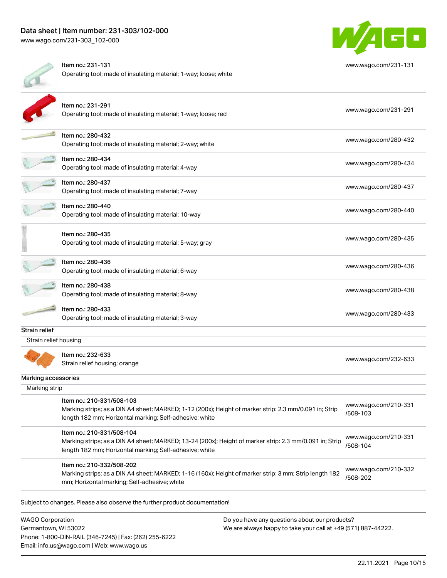

|                       | Item no.: 231-131<br>Operating tool; made of insulating material; 1-way; loose; white                                                                                                           | www.wago.com/231-131             |
|-----------------------|-------------------------------------------------------------------------------------------------------------------------------------------------------------------------------------------------|----------------------------------|
|                       | Item no.: 231-291<br>Operating tool; made of insulating material; 1-way; loose; red                                                                                                             | www.wago.com/231-291             |
|                       | Item no.: 280-432<br>Operating tool; made of insulating material; 2-way; white                                                                                                                  | www.wago.com/280-432             |
|                       | Item no.: 280-434<br>Operating tool; made of insulating material; 4-way                                                                                                                         | www.wago.com/280-434             |
|                       | Item no.: 280-437<br>Operating tool; made of insulating material; 7-way                                                                                                                         | www.wago.com/280-437             |
|                       | Item no.: 280-440<br>Operating tool; made of insulating material; 10-way                                                                                                                        | www.wago.com/280-440             |
|                       | Item no.: 280-435<br>Operating tool; made of insulating material; 5-way; gray                                                                                                                   | www.wago.com/280-435             |
|                       | Item no.: 280-436<br>Operating tool; made of insulating material; 6-way                                                                                                                         | www.wago.com/280-436             |
|                       | Item no.: 280-438<br>Operating tool; made of insulating material; 8-way                                                                                                                         | www.wago.com/280-438             |
|                       | Item no.: 280-433<br>Operating tool; made of insulating material; 3-way                                                                                                                         | www.wago.com/280-433             |
| Strain relief         |                                                                                                                                                                                                 |                                  |
| Strain relief housing |                                                                                                                                                                                                 |                                  |
|                       | Item no.: 232-633<br>Strain relief housing; orange                                                                                                                                              | www.wago.com/232-633             |
| Marking accessories   |                                                                                                                                                                                                 |                                  |
| Marking strip         |                                                                                                                                                                                                 |                                  |
|                       | Item no.: 210-331/508-103<br>Marking strips; as a DIN A4 sheet; MARKED; 1-12 (200x); Height of marker strip: 2.3 mm/0.091 in; Strip<br>length 182 mm; Horizontal marking; Self-adhesive; white  | www.wago.com/210-331<br>/508-103 |
|                       | Item no.: 210-331/508-104<br>Marking strips; as a DIN A4 sheet; MARKED; 13-24 (200x); Height of marker strip: 2.3 mm/0.091 in; Strip<br>length 182 mm; Horizontal marking; Self-adhesive; white | www.wago.com/210-331<br>/508-104 |
|                       | Item no.: 210-332/508-202<br>Marking strips; as a DIN A4 sheet; MARKED; 1-16 (160x); Height of marker strip: 3 mm; Strip length 182<br>mm; Horizontal marking; Self-adhesive; white             | www.wago.com/210-332<br>/508-202 |
|                       |                                                                                                                                                                                                 |                                  |

Subject to changes. Please also observe the further product documentation!

WAGO Corporation Germantown, WI 53022 Phone: 1-800-DIN-RAIL (346-7245) | Fax: (262) 255-6222 Email: info.us@wago.com | Web: www.wago.us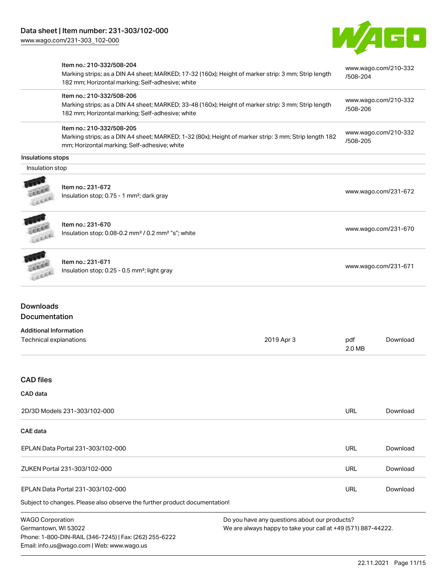Email: info.us@wago.com | Web: www.wago.us



|                               | Item no.: 210-332/508-204<br>Marking strips; as a DIN A4 sheet; MARKED; 17-32 (160x); Height of marker strip: 3 mm; Strip length                        |                                                               |                      | www.wago.com/210-332 |
|-------------------------------|---------------------------------------------------------------------------------------------------------------------------------------------------------|---------------------------------------------------------------|----------------------|----------------------|
|                               | 182 mm; Horizontal marking; Self-adhesive; white                                                                                                        |                                                               | /508-204             |                      |
|                               | Item no.: 210-332/508-206                                                                                                                               |                                                               |                      | www.wago.com/210-332 |
|                               | Marking strips; as a DIN A4 sheet; MARKED; 33-48 (160x); Height of marker strip: 3 mm; Strip length<br>182 mm; Horizontal marking; Self-adhesive; white |                                                               | /508-206             |                      |
|                               | Item no.: 210-332/508-205                                                                                                                               |                                                               |                      | www.wago.com/210-332 |
|                               | Marking strips; as a DIN A4 sheet; MARKED; 1-32 (80x); Height of marker strip: 3 mm; Strip length 182<br>mm; Horizontal marking; Self-adhesive; white   |                                                               | /508-205             |                      |
| <b>Insulations stops</b>      |                                                                                                                                                         |                                                               |                      |                      |
| Insulation stop               |                                                                                                                                                         |                                                               |                      |                      |
|                               | Item no.: 231-672<br>Insulation stop; 0.75 - 1 mm <sup>2</sup> ; dark gray                                                                              |                                                               |                      | www.wago.com/231-672 |
|                               |                                                                                                                                                         |                                                               |                      |                      |
|                               | Item no.: 231-670                                                                                                                                       |                                                               |                      | www.wago.com/231-670 |
| LEEEE                         | Insulation stop; 0.08-0.2 mm <sup>2</sup> / 0.2 mm <sup>2</sup> "s"; white                                                                              |                                                               |                      |                      |
|                               | Item no.: 231-671                                                                                                                                       |                                                               |                      |                      |
|                               | Insulation stop; 0.25 - 0.5 mm <sup>2</sup> ; light gray                                                                                                |                                                               | www.wago.com/231-671 |                      |
| <b>Downloads</b>              |                                                                                                                                                         |                                                               |                      |                      |
| Documentation                 |                                                                                                                                                         |                                                               |                      |                      |
| <b>Additional Information</b> |                                                                                                                                                         |                                                               |                      |                      |
| Technical explanations        |                                                                                                                                                         | 2019 Apr 3                                                    | pdf<br>2.0 MB        | Download             |
| <b>CAD files</b>              |                                                                                                                                                         |                                                               |                      |                      |
| CAD data                      |                                                                                                                                                         |                                                               |                      |                      |
|                               | 2D/3D Models 231-303/102-000                                                                                                                            |                                                               | <b>URL</b>           | Download             |
| <b>CAE</b> data               |                                                                                                                                                         |                                                               |                      |                      |
|                               | EPLAN Data Portal 231-303/102-000                                                                                                                       |                                                               | URL                  | Download             |
|                               | ZUKEN Portal 231-303/102-000                                                                                                                            |                                                               | URL                  | Download             |
|                               | EPLAN Data Portal 231-303/102-000                                                                                                                       |                                                               | URL                  | Download             |
|                               | Subject to changes. Please also observe the further product documentation!                                                                              |                                                               |                      |                      |
| <b>WAGO Corporation</b>       |                                                                                                                                                         | Do you have any questions about our products?                 |                      |                      |
| Germantown, WI 53022          | Phone: 1-800-DIN-RAIL (346-7245)   Fax: (262) 255-6222                                                                                                  | We are always happy to take your call at +49 (571) 887-44222. |                      |                      |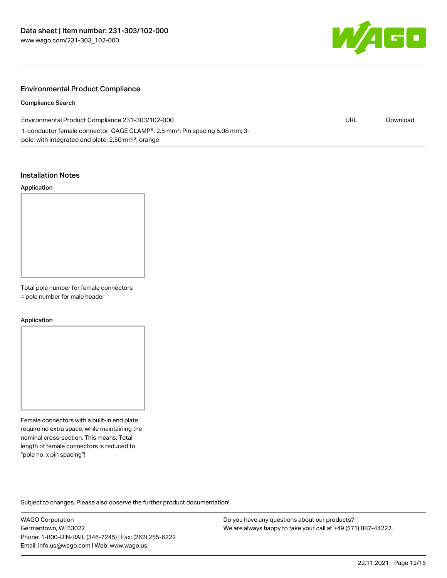

## Environmental Product Compliance

Compliance Search

| Environmental Product Compliance 231-303/102-000                                                      | URL | Download |
|-------------------------------------------------------------------------------------------------------|-----|----------|
| 1-conductor female connector; CAGE CLAMP <sup>®</sup> ; 2.5 mm <sup>2</sup> ; Pin spacing 5.08 mm; 3- |     |          |
| pole; with integrated end plate; 2,50 mm <sup>2</sup> ; orange                                        |     |          |

#### Installation Notes

#### Application



Total pole number for female connectors

= pole number for male header

#### Application

Female connectors with a built-in end plate require no extra space, while maintaining the nominal cross-section. This means: Total length of female connectors is reduced to "pole no. x pin spacing"!

Subject to changes. Please also observe the further product documentation!

WAGO Corporation Germantown, WI 53022 Phone: 1-800-DIN-RAIL (346-7245) | Fax: (262) 255-6222 Email: info.us@wago.com | Web: www.wago.us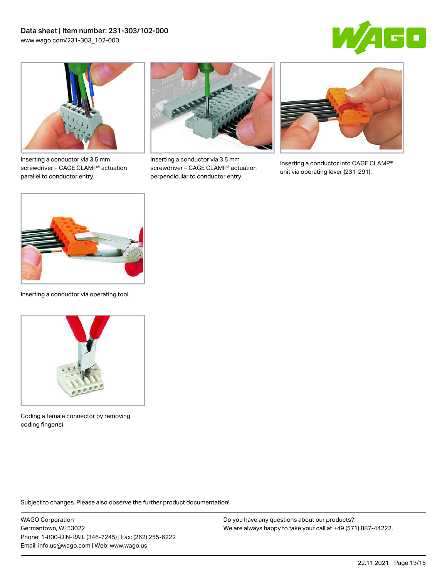



Inserting a conductor via 3.5 mm screwdriver – CAGE CLAMP® actuation parallel to conductor entry.



Inserting a conductor via 3.5 mm screwdriver – CAGE CLAMP® actuation perpendicular to conductor entry.



Inserting a conductor into CAGE CLAMP® unit via operating lever (231-291).



Inserting a conductor via operating tool.



Coding a female connector by removing coding finger(s).

Subject to changes. Please also observe the further product documentation!

WAGO Corporation Germantown, WI 53022 Phone: 1-800-DIN-RAIL (346-7245) | Fax: (262) 255-6222 Email: info.us@wago.com | Web: www.wago.us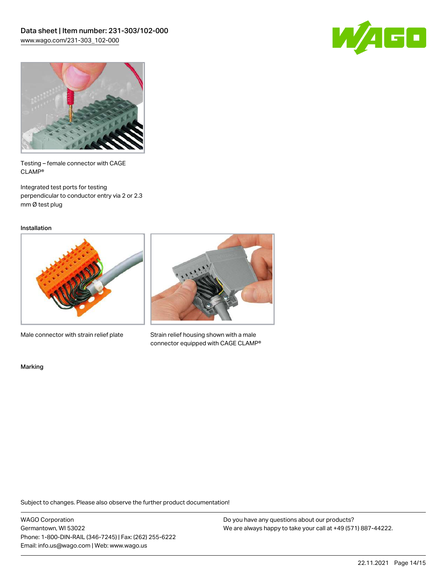



Testing – female connector with CAGE CLAMP®

Integrated test ports for testing perpendicular to conductor entry via 2 or 2.3 mm Ø test plug

Installation



Male connector with strain relief plate



Strain relief housing shown with a male connector equipped with CAGE CLAMP®

Marking

Subject to changes. Please also observe the further product documentation!

WAGO Corporation Germantown, WI 53022 Phone: 1-800-DIN-RAIL (346-7245) | Fax: (262) 255-6222 Email: info.us@wago.com | Web: www.wago.us